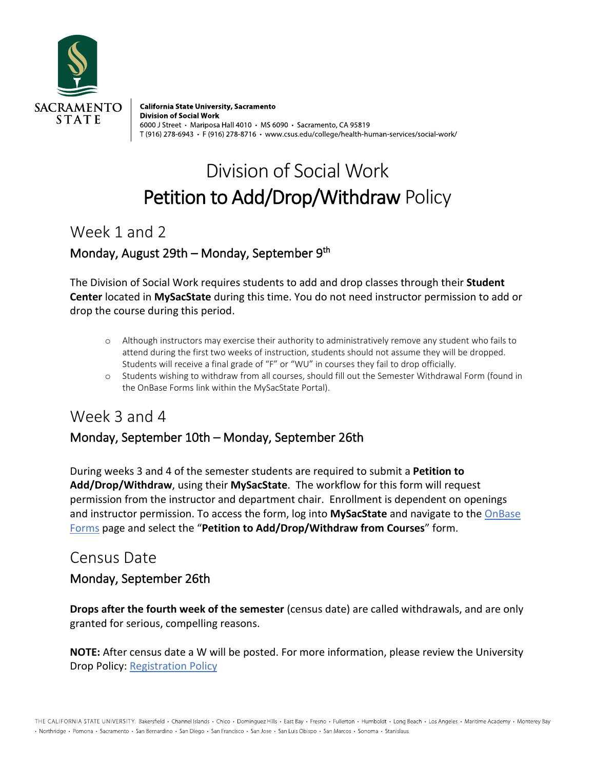

California State University, Sacramento **Division of Social Work** 6000 J Street • Mariposa Hall 4010 • MS 6090 • Sacramento, CA 95819 T (916) 278-6943 · F (916) 278-8716 · www.csus.edu/college/health-human-services/social-work/

# Division of Social Work Petition to Add/Drop/Withdraw Policy

Week 1 and 2

#### Monday, August 29th – Monday, September 9<sup>th</sup>

The Division of Social Work requires students to add and drop classes through their **Student Center** located in **MySacState** during this time. You do not need instructor permission to add or drop the course during this period.

- o Although instructors may exercise their authority to administratively remove any student who fails to attend during the first two weeks of instruction, students should not assume they will be dropped. Students will receive a final grade of "F" or "WU" in courses they fail to drop officially.
- o Students wishing to withdraw from all courses, should fill out the Semester Withdrawal Form (found in the OnBase Forms link within the MySacState Portal).

# Week 3 and 4 Monday, September 10th – Monday, September 26th

During weeks 3 and 4 of the semester students are required to submit a **Petition to Add/Drop/Withdraw**, using their **MySacState**. The workflow for this form will request permission from the instructor and department chair. Enrollment is dependent on openings and instructor permission. To access the form, log into **MySacState** and navigate to the OnBase Forms page and select the "**Petition to Add/Drop/Withdraw from Courses**" form.

### Census Date

#### Monday, September 26th

**Drops after the fourth week of the semester** (census date) are called withdrawals, and are only granted for serious, compelling reasons.

**NOTE:** After census date a W will be posted. For more information, please review the University Drop Policy: Registration Policy